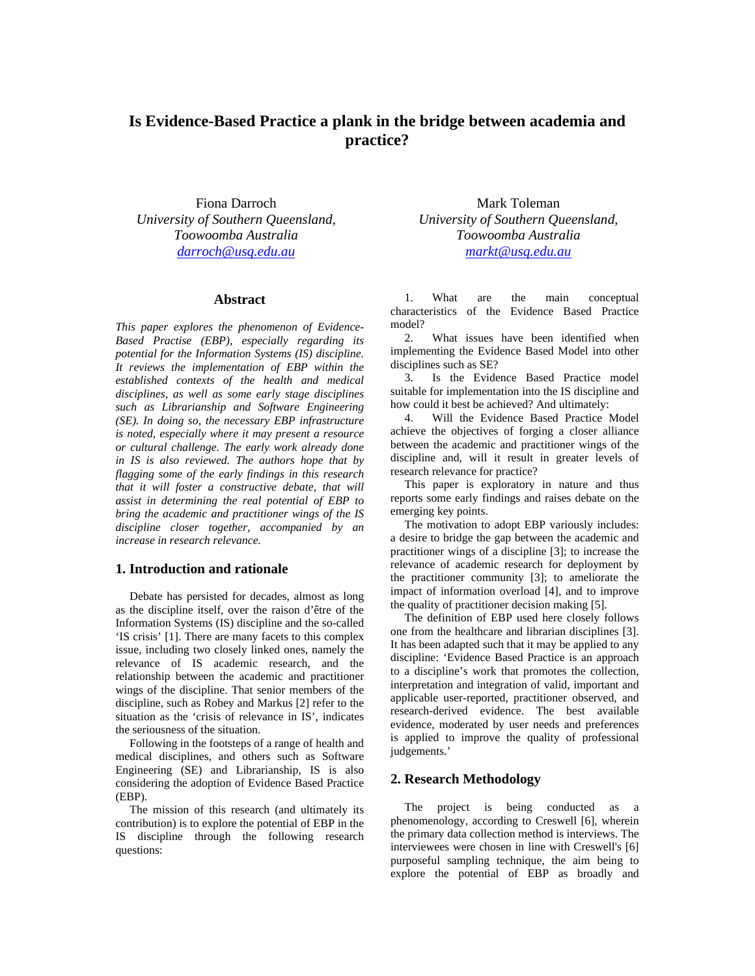# **Is Evidence-Based Practice a plank in the bridge between academia and practice?**

Fiona Darroch *University of Southern Queensland, Toowoomba Australia darroch@usq.edu.au*

#### **Abstract**

*This paper explores the phenomenon of Evidence-Based Practise (EBP), especially regarding its potential for the Information Systems (IS) discipline. It reviews the implementation of EBP within the established contexts of the health and medical disciplines, as well as some early stage disciplines such as Librarianship and Software Engineering (SE). In doing so, the necessary EBP infrastructure is noted, especially where it may present a resource or cultural challenge. The early work already done in IS is also reviewed. The authors hope that by flagging some of the early findings in this research that it will foster a constructive debate, that will assist in determining the real potential of EBP to bring the academic and practitioner wings of the IS discipline closer together, accompanied by an increase in research relevance.* 

#### **1. Introduction and rationale**

Debate has persisted for decades, almost as long as the discipline itself, over the raison d'être of the Information Systems (IS) discipline and the so-called 'IS crisis' [1]. There are many facets to this complex issue, including two closely linked ones, namely the relevance of IS academic research, and the relationship between the academic and practitioner wings of the discipline. That senior members of the discipline, such as Robey and Markus [2] refer to the situation as the 'crisis of relevance in IS', indicates the seriousness of the situation.

Following in the footsteps of a range of health and medical disciplines, and others such as Software Engineering (SE) and Librarianship, IS is also considering the adoption of Evidence Based Practice (EBP).

The mission of this research (and ultimately its contribution) is to explore the potential of EBP in the IS discipline through the following research questions:

Mark Toleman *University of Southern Queensland, Toowoomba Australia markt@usq.edu.au*

1. What are the main conceptual characteristics of the Evidence Based Practice model?

2. What issues have been identified when implementing the Evidence Based Model into other disciplines such as SE?

3. Is the Evidence Based Practice model suitable for implementation into the IS discipline and how could it best be achieved? And ultimately:

4. Will the Evidence Based Practice Model achieve the objectives of forging a closer alliance between the academic and practitioner wings of the discipline and, will it result in greater levels of research relevance for practice?

This paper is exploratory in nature and thus reports some early findings and raises debate on the emerging key points.

The motivation to adopt EBP variously includes: a desire to bridge the gap between the academic and practitioner wings of a discipline [3]; to increase the relevance of academic research for deployment by the practitioner community [3]; to ameliorate the impact of information overload [4], and to improve the quality of practitioner decision making [5].

The definition of EBP used here closely follows one from the healthcare and librarian disciplines [3]. It has been adapted such that it may be applied to any discipline: 'Evidence Based Practice is an approach to a discipline's work that promotes the collection, interpretation and integration of valid, important and applicable user-reported, practitioner observed, and research-derived evidence. The best available evidence, moderated by user needs and preferences is applied to improve the quality of professional judgements.'

### **2. Research Methodology**

The project is being conducted as a phenomenology, according to Creswell [6], wherein the primary data collection method is interviews. The interviewees were chosen in line with Creswell's [6] purposeful sampling technique, the aim being to explore the potential of EBP as broadly and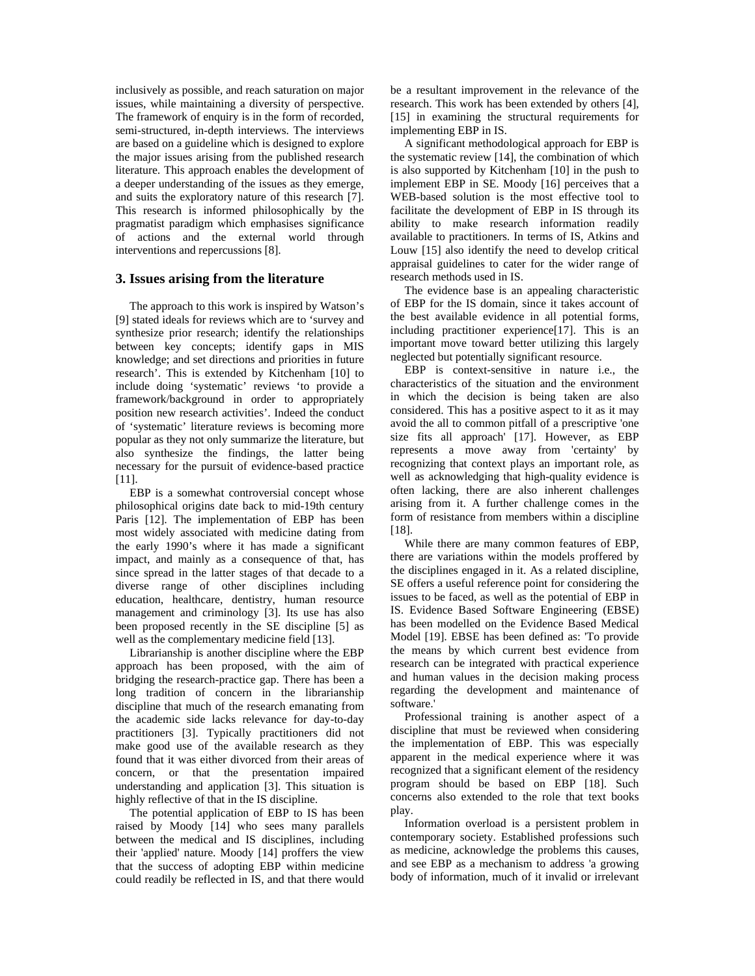inclusively as possible, and reach saturation on major issues, while maintaining a diversity of perspective. The framework of enquiry is in the form of recorded, semi-structured, in-depth interviews. The interviews are based on a guideline which is designed to explore the major issues arising from the published research literature. This approach enables the development of a deeper understanding of the issues as they emerge, and suits the exploratory nature of this research [7]. This research is informed philosophically by the pragmatist paradigm which emphasises significance of actions and the external world through interventions and repercussions [8].

#### **3. Issues arising from the literature**

The approach to this work is inspired by Watson's [9] stated ideals for reviews which are to 'survey and synthesize prior research; identify the relationships between key concepts; identify gaps in MIS knowledge; and set directions and priorities in future research'. This is extended by Kitchenham [10] to include doing 'systematic' reviews 'to provide a framework/background in order to appropriately position new research activities'. Indeed the conduct of 'systematic' literature reviews is becoming more popular as they not only summarize the literature, but also synthesize the findings, the latter being necessary for the pursuit of evidence-based practice [11].

EBP is a somewhat controversial concept whose philosophical origins date back to mid-19th century Paris [12]. The implementation of EBP has been most widely associated with medicine dating from the early 1990's where it has made a significant impact, and mainly as a consequence of that, has since spread in the latter stages of that decade to a diverse range of other disciplines including education, healthcare, dentistry, human resource management and criminology [3]. Its use has also been proposed recently in the SE discipline [5] as well as the complementary medicine field [13].

Librarianship is another discipline where the EBP approach has been proposed, with the aim of bridging the research-practice gap. There has been a long tradition of concern in the librarianship discipline that much of the research emanating from the academic side lacks relevance for day-to-day practitioners [3]. Typically practitioners did not make good use of the available research as they found that it was either divorced from their areas of concern, or that the presentation impaired understanding and application [3]. This situation is highly reflective of that in the IS discipline.

The potential application of EBP to IS has been raised by Moody [14] who sees many parallels between the medical and IS disciplines, including their 'applied' nature. Moody [14] proffers the view that the success of adopting EBP within medicine could readily be reflected in IS, and that there would be a resultant improvement in the relevance of the research. This work has been extended by others [4], [15] in examining the structural requirements for implementing EBP in IS.

A significant methodological approach for EBP is the systematic review [14], the combination of which is also supported by Kitchenham [10] in the push to implement EBP in SE. Moody [16] perceives that a WEB-based solution is the most effective tool to facilitate the development of EBP in IS through its ability to make research information readily available to practitioners. In terms of IS, Atkins and Louw [15] also identify the need to develop critical appraisal guidelines to cater for the wider range of research methods used in IS.

The evidence base is an appealing characteristic of EBP for the IS domain, since it takes account of the best available evidence in all potential forms, including practitioner experience[17]. This is an important move toward better utilizing this largely neglected but potentially significant resource.

EBP is context-sensitive in nature i.e., the characteristics of the situation and the environment in which the decision is being taken are also considered. This has a positive aspect to it as it may avoid the all to common pitfall of a prescriptive 'one size fits all approach' [17]. However, as EBP represents a move away from 'certainty' by recognizing that context plays an important role, as well as acknowledging that high-quality evidence is often lacking, there are also inherent challenges arising from it. A further challenge comes in the form of resistance from members within a discipline [18].

While there are many common features of EBP, there are variations within the models proffered by the disciplines engaged in it. As a related discipline, SE offers a useful reference point for considering the issues to be faced, as well as the potential of EBP in IS. Evidence Based Software Engineering (EBSE) has been modelled on the Evidence Based Medical Model [19]. EBSE has been defined as: 'To provide the means by which current best evidence from research can be integrated with practical experience and human values in the decision making process regarding the development and maintenance of software.'

Professional training is another aspect of a discipline that must be reviewed when considering the implementation of EBP. This was especially apparent in the medical experience where it was recognized that a significant element of the residency program should be based on EBP [18]. Such concerns also extended to the role that text books play.

Information overload is a persistent problem in contemporary society. Established professions such as medicine, acknowledge the problems this causes, and see EBP as a mechanism to address 'a growing body of information, much of it invalid or irrelevant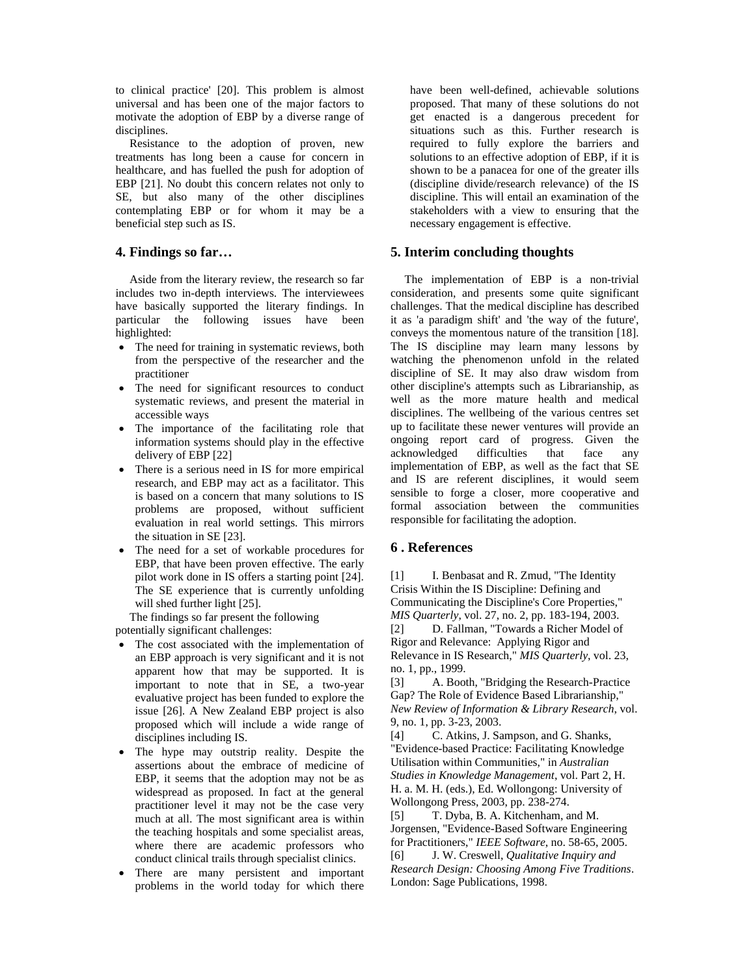to clinical practice' [20]. This problem is almost universal and has been one of the major factors to motivate the adoption of EBP by a diverse range of disciplines.

Resistance to the adoption of proven, new treatments has long been a cause for concern in healthcare, and has fuelled the push for adoption of EBP [21]. No doubt this concern relates not only to SE, but also many of the other disciplines contemplating EBP or for whom it may be a beneficial step such as IS.

## **4. Findings so far…**

Aside from the literary review, the research so far includes two in-depth interviews. The interviewees have basically supported the literary findings. In particular the following issues have been highlighted:

- The need for training in systematic reviews, both from the perspective of the researcher and the practitioner
- The need for significant resources to conduct systematic reviews, and present the material in accessible ways
- The importance of the facilitating role that information systems should play in the effective delivery of EBP [22]
- There is a serious need in IS for more empirical research, and EBP may act as a facilitator. This is based on a concern that many solutions to IS problems are proposed, without sufficient evaluation in real world settings. This mirrors the situation in SE [23].
- The need for a set of workable procedures for EBP, that have been proven effective. The early pilot work done in IS offers a starting point [24]. The SE experience that is currently unfolding will shed further light [25].

The findings so far present the following potentially significant challenges:

- The cost associated with the implementation of an EBP approach is very significant and it is not apparent how that may be supported. It is important to note that in SE, a two-year evaluative project has been funded to explore the issue [26]. A New Zealand EBP project is also proposed which will include a wide range of disciplines including IS.
- The hype may outstrip reality. Despite the assertions about the embrace of medicine of EBP, it seems that the adoption may not be as widespread as proposed. In fact at the general practitioner level it may not be the case very much at all. The most significant area is within the teaching hospitals and some specialist areas, where there are academic professors who conduct clinical trails through specialist clinics.
- There are many persistent and important problems in the world today for which there

have been well-defined, achievable solutions proposed. That many of these solutions do not get enacted is a dangerous precedent for situations such as this. Further research is required to fully explore the barriers and solutions to an effective adoption of EBP, if it is shown to be a panacea for one of the greater ills (discipline divide/research relevance) of the IS discipline. This will entail an examination of the stakeholders with a view to ensuring that the necessary engagement is effective.

## **5. Interim concluding thoughts**

The implementation of EBP is a non-trivial consideration, and presents some quite significant challenges. That the medical discipline has described it as 'a paradigm shift' and 'the way of the future', conveys the momentous nature of the transition [18]. The IS discipline may learn many lessons by watching the phenomenon unfold in the related discipline of SE. It may also draw wisdom from other discipline's attempts such as Librarianship, as well as the more mature health and medical disciplines. The wellbeing of the various centres set up to facilitate these newer ventures will provide an ongoing report card of progress. Given the acknowledged difficulties that face any implementation of EBP, as well as the fact that SE and IS are referent disciplines, it would seem sensible to forge a closer, more cooperative and formal association between the communities responsible for facilitating the adoption.

# **6 . References**

[1] I. Benbasat and R. Zmud, "The Identity" Crisis Within the IS Discipline: Defining and Communicating the Discipline's Core Properties," *MIS Quarterly*, vol. 27, no. 2, pp. 183-194, 2003. [2] D. Fallman, "Towards a Richer Model of Rigor and Relevance: Applying Rigor and Relevance in IS Research," *MIS Quarterly*, vol. 23, no. 1, pp., 1999.

[3] A. Booth, "Bridging the Research-Practice Gap? The Role of Evidence Based Librarianship," *New Review of Information & Library Research*, vol. 9, no. 1, pp. 3-23, 2003.

[4] C. Atkins, J. Sampson, and G. Shanks, "Evidence-based Practice: Facilitating Knowledge Utilisation within Communities," in *Australian Studies in Knowledge Management*, vol. Part 2, H. H. a. M. H. (eds.), Ed. Wollongong: University of Wollongong Press, 2003, pp. 238-274.

[5] T. Dyba, B. A. Kitchenham, and M. Jorgensen, "Evidence-Based Software Engineering for Practitioners," *IEEE Software*, no. 58-65, 2005.

[6] J. W. Creswell, *Qualitative Inquiry and Research Design: Choosing Among Five Traditions*. London: Sage Publications, 1998.